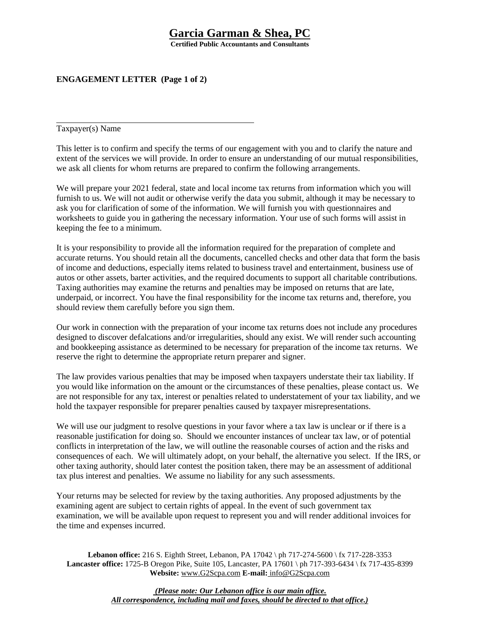# **Garcia Garman & Shea, PC**

**Certified Public Accountants and Consultants** 

## **ENGAGEMENT LETTER (Page 1 of 2)**

Taxpayer(s) Name

This letter is to confirm and specify the terms of our engagement with you and to clarify the nature and extent of the services we will provide. In order to ensure an understanding of our mutual responsibilities, we ask all clients for whom returns are prepared to confirm the following arrangements.

We will prepare your 2021 federal, state and local income tax returns from information which you will furnish to us. We will not audit or otherwise verify the data you submit, although it may be necessary to ask you for clarification of some of the information. We will furnish you with questionnaires and worksheets to guide you in gathering the necessary information. Your use of such forms will assist in keeping the fee to a minimum.

It is your responsibility to provide all the information required for the preparation of complete and accurate returns. You should retain all the documents, cancelled checks and other data that form the basis of income and deductions, especially items related to business travel and entertainment, business use of autos or other assets, barter activities, and the required documents to support all charitable contributions. Taxing authorities may examine the returns and penalties may be imposed on returns that are late, underpaid, or incorrect. You have the final responsibility for the income tax returns and, therefore, you should review them carefully before you sign them.

Our work in connection with the preparation of your income tax returns does not include any procedures designed to discover defalcations and/or irregularities, should any exist. We will render such accounting and bookkeeping assistance as determined to be necessary for preparation of the income tax returns. We reserve the right to determine the appropriate return preparer and signer.

The law provides various penalties that may be imposed when taxpayers understate their tax liability. If you would like information on the amount or the circumstances of these penalties, please contact us. We are not responsible for any tax, interest or penalties related to understatement of your tax liability, and we hold the taxpayer responsible for preparer penalties caused by taxpayer misrepresentations.

We will use our judgment to resolve questions in your favor where a tax law is unclear or if there is a reasonable justification for doing so. Should we encounter instances of unclear tax law, or of potential conflicts in interpretation of the law, we will outline the reasonable courses of action and the risks and consequences of each. We will ultimately adopt, on your behalf, the alternative you select. If the IRS, or other taxing authority, should later contest the position taken, there may be an assessment of additional tax plus interest and penalties. We assume no liability for any such assessments.

Your returns may be selected for review by the taxing authorities. Any proposed adjustments by the examining agent are subject to certain rights of appeal. In the event of such government tax examination, we will be available upon request to represent you and will render additional invoices for the time and expenses incurred.

**Lebanon office:** 216 S. Eighth Street, Lebanon, PA 17042 \ ph 717-274-5600 \ fx 717-228-3353 **Lancaster office:** 1725-B Oregon Pike, Suite 105, Lancaster, PA 17601 \ ph 717-393-6434 \ fx 717-435-8399 **Website:** www.G2Scpa.com **E-mail:** info@G2Scpa.com

> *(Please note: Our Lebanon office is our main office. All correspondence, including mail and faxes, should be directed to that office.)*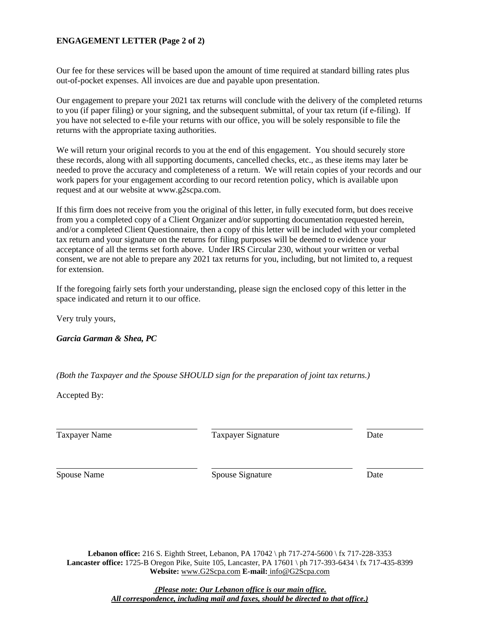### **ENGAGEMENT LETTER (Page 2 of 2)**

Our fee for these services will be based upon the amount of time required at standard billing rates plus out-of-pocket expenses. All invoices are due and payable upon presentation.

Our engagement to prepare your 2021 tax returns will conclude with the delivery of the completed returns to you (if paper filing) or your signing, and the subsequent submittal, of your tax return (if e-filing). If you have not selected to e-file your returns with our office, you will be solely responsible to file the returns with the appropriate taxing authorities.

We will return your original records to you at the end of this engagement. You should securely store these records, along with all supporting documents, cancelled checks, etc., as these items may later be needed to prove the accuracy and completeness of a return. We will retain copies of your records and our work papers for your engagement according to our record retention policy, which is available upon request and at our website at www.g2scpa.com.

If this firm does not receive from you the original of this letter, in fully executed form, but does receive from you a completed copy of a Client Organizer and/or supporting documentation requested herein, and/or a completed Client Questionnaire, then a copy of this letter will be included with your completed tax return and your signature on the returns for filing purposes will be deemed to evidence your acceptance of all the terms set forth above. Under IRS Circular 230, without your written or verbal consent, we are not able to prepare any 2021 tax returns for you, including, but not limited to, a request for extension.

If the foregoing fairly sets forth your understanding, please sign the enclosed copy of this letter in the space indicated and return it to our office.

Very truly yours,

*Garcia Garman & Shea, PC*

*(Both the Taxpayer and the Spouse SHOULD sign for the preparation of joint tax returns.)* 

Accepted By:

Taxpayer Name Taxpayer Signature Date

Spouse Name Spouse Signature Date

**Lebanon office:** 216 S. Eighth Street, Lebanon, PA 17042 \ ph 717-274-5600 \ fx 717-228-3353 **Lancaster office:** 1725-B Oregon Pike, Suite 105, Lancaster, PA 17601 \ ph 717-393-6434 \ fx 717-435-8399 **Website:** www.G2Scpa.com **E-mail:** info@G2Scpa.com

> *(Please note: Our Lebanon office is our main office. All correspondence, including mail and faxes, should be directed to that office.)*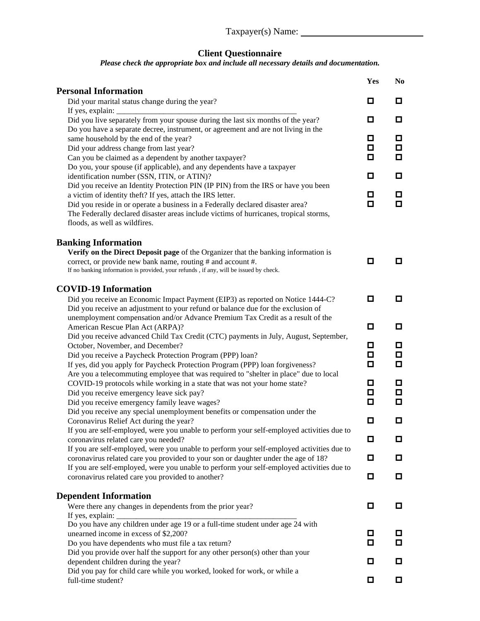#### **Client Questionnaire**

#### *Please check the appropriate box and include all necessary details and documentation.*

|                                                                                                                                              | Yes    | N <sub>0</sub> |
|----------------------------------------------------------------------------------------------------------------------------------------------|--------|----------------|
| <b>Personal Information</b>                                                                                                                  |        |                |
| Did your marital status change during the year?                                                                                              | 0      | 0.             |
| If yes, explain:<br>Did you live separately from your spouse during the last six months of the year?                                         | 0      | 0              |
| Do you have a separate decree, instrument, or agreement and are not living in the                                                            |        |                |
| same household by the end of the year?                                                                                                       | o      | o              |
| Did your address change from last year?                                                                                                      | 0      | 0.             |
| Can you be claimed as a dependent by another taxpayer?                                                                                       | о      | О.             |
| Do you, your spouse (if applicable), and any dependents have a taxpayer                                                                      |        |                |
| identification number (SSN, ITIN, or ATIN)?                                                                                                  | о      | 0              |
| Did you receive an Identity Protection PIN (IP PIN) from the IRS or have you been                                                            | о      | 0              |
| a victim of identity theft? If yes, attach the IRS letter.<br>Did you reside in or operate a business in a Federally declared disaster area? | о      | о              |
| The Federally declared disaster areas include victims of hurricanes, tropical storms,                                                        |        |                |
| floods, as well as wildfires.                                                                                                                |        |                |
|                                                                                                                                              |        |                |
| <b>Banking Information</b><br>Verify on the Direct Deposit page of the Organizer that the banking information is                             |        |                |
| correct, or provide new bank name, routing # and account #.                                                                                  | о      | 0              |
| If no banking information is provided, your refunds, if any, will be issued by check.                                                        |        |                |
| <b>COVID-19 Information</b>                                                                                                                  |        |                |
| Did you receive an Economic Impact Payment (EIP3) as reported on Notice 1444-C?                                                              | о      | 0.             |
| Did you receive an adjustment to your refund or balance due for the exclusion of                                                             |        |                |
| unemployment compensation and/or Advance Premium Tax Credit as a result of the                                                               |        |                |
| American Rescue Plan Act (ARPA)?                                                                                                             | О      | 0              |
| Did you receive advanced Child Tax Credit (CTC) payments in July, August, September,                                                         | 0      | ◘              |
| October, November, and December?<br>Did you receive a Paycheck Protection Program (PPP) loan?                                                | о      | 0              |
| If yes, did you apply for Paycheck Protection Program (PPP) loan forgiveness?                                                                | □      | 0              |
| Are you a telecommuting employee that was required to "shelter in place" due to local                                                        |        |                |
| COVID-19 protocols while working in a state that was not your home state?                                                                    | 0      | o              |
| Did you receive emergency leave sick pay?                                                                                                    | 0      | $\Box$         |
| Did you receive emergency family leave wages?                                                                                                | О      | о              |
| Did you receive any special unemployment benefits or compensation under the                                                                  |        |                |
| Coronavirus Relief Act during the year?                                                                                                      | о      | о              |
| If you are self-employed, were you unable to perform your self-employed activities due to<br>coronavirus related care you needed?            | 0      | 0              |
| If you are self-employed, were you unable to perform your self-employed activities due to                                                    |        |                |
| coronavirus related care you provided to your son or daughter under the age of 18?                                                           | o      | 0              |
| If you are self-employed, were you unable to perform your self-employed activities due to                                                    |        |                |
| coronavirus related care you provided to another?                                                                                            | o      | 0              |
| <b>Dependent Information</b>                                                                                                                 |        |                |
| Were there any changes in dependents from the prior year?                                                                                    | о      | 0              |
| If yes, explain:                                                                                                                             |        |                |
| Do you have any children under age 19 or a full-time student under age 24 with                                                               |        |                |
| unearned income in excess of \$2,200?                                                                                                        | 0<br>о | O<br>0         |
| Do you have dependents who must file a tax return?<br>Did you provide over half the support for any other person(s) other than your          |        |                |
| dependent children during the year?                                                                                                          | о      | о              |
| Did you pay for child care while you worked, looked for work, or while a                                                                     |        |                |
| full-time student?                                                                                                                           | О      | 0              |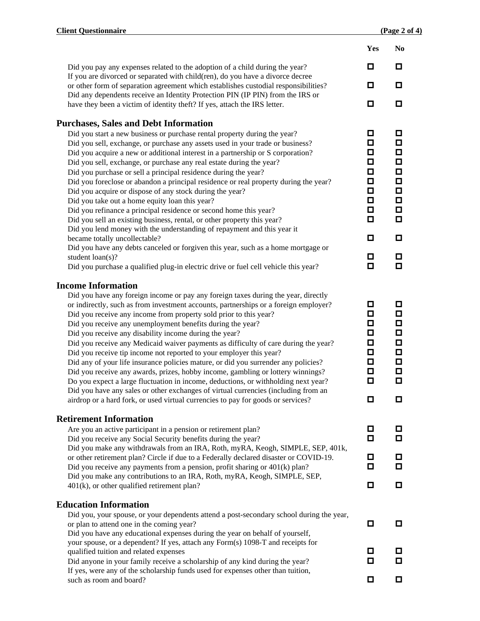|                                                                                                                                                                          | Yes    | N <sub>0</sub>   |
|--------------------------------------------------------------------------------------------------------------------------------------------------------------------------|--------|------------------|
| Did you pay any expenses related to the adoption of a child during the year?                                                                                             | ◘      | o                |
| If you are divorced or separated with child(ren), do you have a divorce decree                                                                                           |        |                  |
| or other form of separation agreement which establishes custodial responsibilities?                                                                                      | o      | О                |
| Did any dependents receive an Identity Protection PIN (IP PIN) from the IRS or                                                                                           | О      | О                |
| have they been a victim of identity theft? If yes, attach the IRS letter.                                                                                                |        |                  |
| <b>Purchases, Sales and Debt Information</b>                                                                                                                             |        |                  |
| Did you start a new business or purchase rental property during the year?                                                                                                | o      | о                |
| Did you sell, exchange, or purchase any assets used in your trade or business?                                                                                           | ◻      | ◻                |
| Did you acquire a new or additional interest in a partnership or S corporation?                                                                                          | ◻      | О                |
| Did you sell, exchange, or purchase any real estate during the year?                                                                                                     | о      | $\Box$           |
| Did you purchase or sell a principal residence during the year?                                                                                                          | О      | $\Box$           |
| Did you foreclose or abandon a principal residence or real property during the year?                                                                                     | ◘      | $\Box$           |
| Did you acquire or dispose of any stock during the year?                                                                                                                 | О      | $\Box$           |
| Did you take out a home equity loan this year?                                                                                                                           | О      | $\Box$           |
| Did you refinance a principal residence or second home this year?                                                                                                        | □      | $\Box$           |
| Did you sell an existing business, rental, or other property this year?                                                                                                  | О      | $\Box$           |
| Did you lend money with the understanding of repayment and this year it<br>became totally uncollectable?                                                                 | ◻      | О                |
| Did you have any debts canceled or forgiven this year, such as a home mortgage or                                                                                        |        |                  |
| student loan(s)?                                                                                                                                                         | ◘      | ◘                |
| Did you purchase a qualified plug-in electric drive or fuel cell vehicle this year?                                                                                      | ◻      | О                |
|                                                                                                                                                                          |        |                  |
| <b>Income Information</b>                                                                                                                                                |        |                  |
| Did you have any foreign income or pay any foreign taxes during the year, directly                                                                                       |        |                  |
| or indirectly, such as from investment accounts, partnerships or a foreign employer?                                                                                     | o      | o                |
| Did you receive any income from property sold prior to this year?                                                                                                        | ◘      | О                |
| Did you receive any unemployment benefits during the year?                                                                                                               | ◻      | □                |
| Did you receive any disability income during the year?                                                                                                                   | ◻      | $\Box$           |
| Did you receive any Medicaid waiver payments as difficulty of care during the year?                                                                                      | ◘      | $\Box$           |
| Did you receive tip income not reported to your employer this year?                                                                                                      | □      | $\Box$           |
| Did any of your life insurance policies mature, or did you surrender any policies?                                                                                       | о      | $\Box$           |
| Did you receive any awards, prizes, hobby income, gambling or lottery winnings?                                                                                          | Д<br>О | $\Box$<br>$\Box$ |
| Do you expect a large fluctuation in income, deductions, or withholding next year?<br>Did you have any sales or other exchanges of virtual currencies (including from an |        |                  |
| airdrop or a hard fork, or used virtual currencies to pay for goods or services?                                                                                         | O      |                  |
|                                                                                                                                                                          |        |                  |
| <b>Retirement Information</b>                                                                                                                                            |        |                  |
| Are you an active participant in a pension or retirement plan?                                                                                                           | ◘      | о                |
| Did you receive any Social Security benefits during the year?                                                                                                            | О      | О                |
| Did you make any withdrawals from an IRA, Roth, myRA, Keogh, SIMPLE, SEP, 401k,                                                                                          |        |                  |
| or other retirement plan? Circle if due to a Federally declared disaster or COVID-19.                                                                                    | ◘      | о                |
| Did you receive any payments from a pension, profit sharing or 401(k) plan?                                                                                              | О      | О                |
| Did you make any contributions to an IRA, Roth, myRA, Keogh, SIMPLE, SEP,                                                                                                |        |                  |
| $401(k)$ , or other qualified retirement plan?                                                                                                                           | ◘      | О                |
| <b>Education Information</b>                                                                                                                                             |        |                  |
| Did you, your spouse, or your dependents attend a post-secondary school during the year,                                                                                 |        |                  |
| or plan to attend one in the coming year?                                                                                                                                | О      | o                |
| Did you have any educational expenses during the year on behalf of yourself,                                                                                             |        |                  |
| your spouse, or a dependent? If yes, attach any Form(s) 1098-T and receipts for                                                                                          |        |                  |
| qualified tuition and related expenses                                                                                                                                   | o      | О                |
| Did anyone in your family receive a scholarship of any kind during the year?                                                                                             | ◻      | о                |
| If yes, were any of the scholarship funds used for expenses other than tuition,                                                                                          |        |                  |
| such as room and board?                                                                                                                                                  | ◘      | ◘                |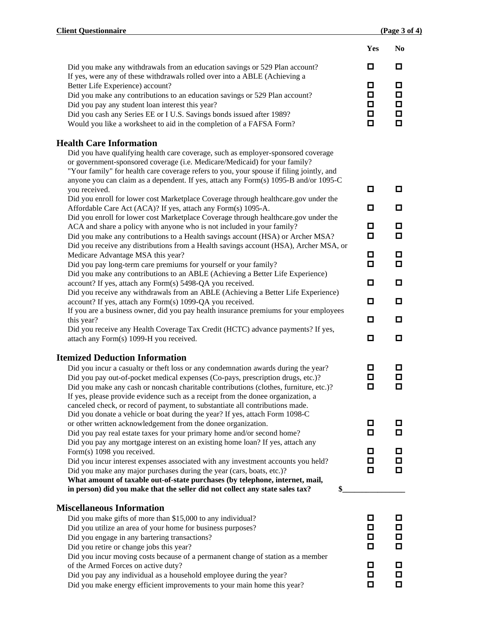|                                                                                                                                                                                                                                                                                                                                                                                                                                     | Yes                              | N <sub>0</sub>                        |
|-------------------------------------------------------------------------------------------------------------------------------------------------------------------------------------------------------------------------------------------------------------------------------------------------------------------------------------------------------------------------------------------------------------------------------------|----------------------------------|---------------------------------------|
| Did you make any withdrawals from an education savings or 529 Plan account?                                                                                                                                                                                                                                                                                                                                                         | o                                | o                                     |
| If yes, were any of these withdrawals rolled over into a ABLE (Achieving a<br>Better Life Experience) account?<br>Did you make any contributions to an education savings or 529 Plan account?<br>Did you pay any student loan interest this year?<br>Did you cash any Series EE or I U.S. Savings bonds issued after 1989?<br>Would you like a worksheet to aid in the completion of a FAFSA Form?                                  | ◘<br>$\Box$<br>О.<br>$\Box$<br>о | 0<br>$\Box$<br>$\Box$<br>$\Box$<br>П. |
| <b>Health Care Information</b>                                                                                                                                                                                                                                                                                                                                                                                                      |                                  |                                       |
| Did you have qualifying health care coverage, such as employer-sponsored coverage<br>or government-sponsored coverage (i.e. Medicare/Medicaid) for your family?<br>"Your family" for health care coverage refers to you, your spouse if filing jointly, and<br>anyone you can claim as a dependent. If yes, attach any Form(s) 1095-B and/or 1095-C                                                                                 |                                  |                                       |
| you received.<br>Did you enroll for lower cost Marketplace Coverage through healthcare.gov under the                                                                                                                                                                                                                                                                                                                                | o                                | 0                                     |
| Affordable Care Act (ACA)? If yes, attach any Form(s) 1095-A.                                                                                                                                                                                                                                                                                                                                                                       | o                                | 0                                     |
| Did you enroll for lower cost Marketplace Coverage through healthcare.gov under the<br>ACA and share a policy with anyone who is not included in your family?<br>Did you make any contributions to a Health savings account (HSA) or Archer MSA?                                                                                                                                                                                    | o<br>О                           | 0<br>О.                               |
| Did you receive any distributions from a Health savings account (HSA), Archer MSA, or<br>Medicare Advantage MSA this year?<br>Did you pay long-term care premiums for yourself or your family?<br>Did you make any contributions to an ABLE (Achieving a Better Life Experience)                                                                                                                                                    | o<br>О                           | 0<br>0.                               |
| account? If yes, attach any Form(s) 5498-QA you received.                                                                                                                                                                                                                                                                                                                                                                           | о                                | 0                                     |
| Did you receive any withdrawals from an ABLE (Achieving a Better Life Experience)<br>account? If yes, attach any Form(s) 1099-QA you received.                                                                                                                                                                                                                                                                                      | О                                | 0.                                    |
| If you are a business owner, did you pay health insurance premiums for your employees                                                                                                                                                                                                                                                                                                                                               |                                  |                                       |
| this year?<br>Did you receive any Health Coverage Tax Credit (HCTC) advance payments? If yes,                                                                                                                                                                                                                                                                                                                                       | О                                | 0.                                    |
| attach any Form(s) 1099-H you received.                                                                                                                                                                                                                                                                                                                                                                                             | о                                | 0.                                    |
| <b>Itemized Deduction Information</b>                                                                                                                                                                                                                                                                                                                                                                                               |                                  |                                       |
| Did you incur a casualty or theft loss or any condemnation awards during the year?<br>Did you pay out-of-pocket medical expenses (Co-pays, prescription drugs, etc.)?<br>Did you make any cash or noncash charitable contributions (clothes, furniture, etc.)?<br>If yes, please provide evidence such as a receipt from the donee organization, a<br>canceled check, or record of payment, to substantiate all contributions made. | 0<br>o<br>о                      | 0.<br>0<br>О.                         |
| Did you donate a vehicle or boat during the year? If yes, attach Form 1098-C                                                                                                                                                                                                                                                                                                                                                        |                                  | 0.                                    |
| or other written acknowledgement from the donee organization.<br>Did you pay real estate taxes for your primary home and/or second home?                                                                                                                                                                                                                                                                                            | o                                | О                                     |
| Did you pay any mortgage interest on an existing home loan? If yes, attach any                                                                                                                                                                                                                                                                                                                                                      |                                  |                                       |
| Form(s) 1098 you received.<br>Did you incur interest expenses associated with any investment accounts you held?                                                                                                                                                                                                                                                                                                                     | 0.<br>0                          | 0<br>0                                |
| Did you make any major purchases during the year (cars, boats, etc.)?<br>What amount of taxable out-of-state purchases (by telephone, internet, mail,<br>in person) did you make that the seller did not collect any state sales tax?                                                                                                                                                                                               | 0                                | 0.                                    |
| <b>Miscellaneous Information</b>                                                                                                                                                                                                                                                                                                                                                                                                    |                                  |                                       |
| Did you make gifts of more than \$15,000 to any individual?                                                                                                                                                                                                                                                                                                                                                                         | 0                                | 0                                     |
| Did you utilize an area of your home for business purposes?                                                                                                                                                                                                                                                                                                                                                                         | 0                                | 0                                     |
| Did you engage in any bartering transactions?<br>Did you retire or change jobs this year?                                                                                                                                                                                                                                                                                                                                           | 0<br>О                           | 0.<br>о                               |
| Did you incur moving costs because of a permanent change of station as a member                                                                                                                                                                                                                                                                                                                                                     |                                  |                                       |
| of the Armed Forces on active duty?                                                                                                                                                                                                                                                                                                                                                                                                 | о                                | 0                                     |
| Did you pay any individual as a household employee during the year?<br>Did you make energy efficient improvements to your main home this year?                                                                                                                                                                                                                                                                                      | o<br>О                           | 0.<br>О                               |